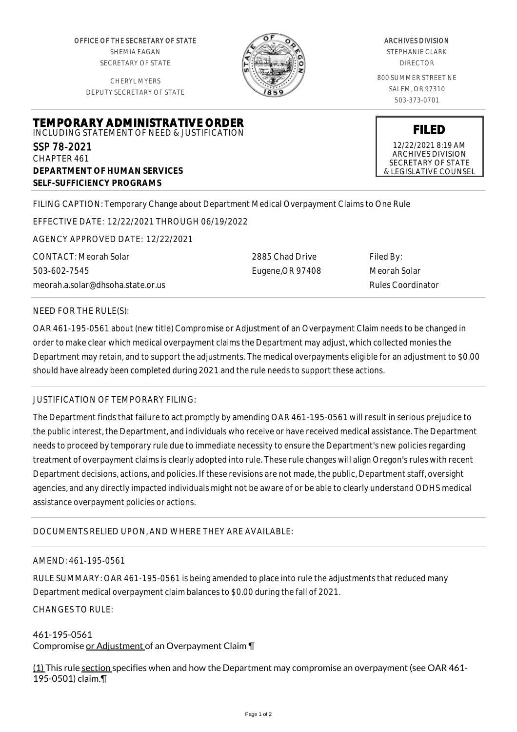OFFICE OF THE SECRETARY OF STATE SHEMIA FAGAN SECRETARY OF STATE

CHERYL MYERS DEPUTY SECRETARY OF STATE



#### ARCHIVES DIVISION

STEPHANIE CLARK DIRECTOR

800 SUMMER STREET NE SALEM, OR 97310 503-373-0701

**FILED** 12/22/2021 8:19 AM ARCHIVES DIVISION SECRETARY OF STATE & LEGISLATIVE COUNSEL

## **TEMPORARY ADMINISTRATIVE ORDER** INCLUDING STATEMENT OF NEED & JUSTIFICATION SSP 78-2021 CHAPTER 461

**DEPARTMENT OF HUMAN SERVICES SELF-SUFFICIENCY PROGRAMS**

FILING CAPTION: Temporary Change about Department Medical Overpayment Claims to One Rule

EFFECTIVE DATE: 12/22/2021 THROUGH 06/19/2022

AGENCY APPROVED DATE: 12/22/2021

CONTACT: Meorah Solar 503-602-7545 meorah.a.solar@dhsoha.state.or.us 2885 Chad Drive Eugene,OR 97408 Filed By: Meorah Solar Rules Coordinator

## NEED FOR THE RULE(S):

OAR 461-195-0561 about (new title) Compromise or Adjustment of an Overpayment Claim needs to be changed in order to make clear which medical overpayment claims the Department may adjust, which collected monies the Department may retain, and to support the adjustments. The medical overpayments eligible for an adjustment to \$0.00 should have already been completed during 2021 and the rule needs to support these actions.

## JUSTIFICATION OF TEMPORARY FILING:

The Department finds that failure to act promptly by amending OAR 461-195-0561 will result in serious prejudice to the public interest, the Department, and individuals who receive or have received medical assistance. The Department needs to proceed by temporary rule due to immediate necessity to ensure the Department's new policies regarding treatment of overpayment claims is clearly adopted into rule. These rule changes will align Oregon's rules with recent Department decisions, actions, and policies. If these revisions are not made, the public, Department staff, oversight agencies, and any directly impacted individuals might not be aware of or be able to clearly understand ODHS medical assistance overpayment policies or actions.

# DOCUMENTS RELIED UPON, AND WHERE THEY ARE AVAILABLE:

# AMEND: 461-195-0561

RULE SUMMARY: OAR 461-195-0561 is being amended to place into rule the adjustments that reduced many Department medical overpayment claim balances to \$0.00 during the fall of 2021.

## CHANGES TO RULE:

#### 461-195-0561 Compromise or Adjustment of an Overpayment Claim ¶

 $(1)$  This rule section specifies when and how the Department may compromise an overpayment (see OAR 461-195-0501) claim.¶